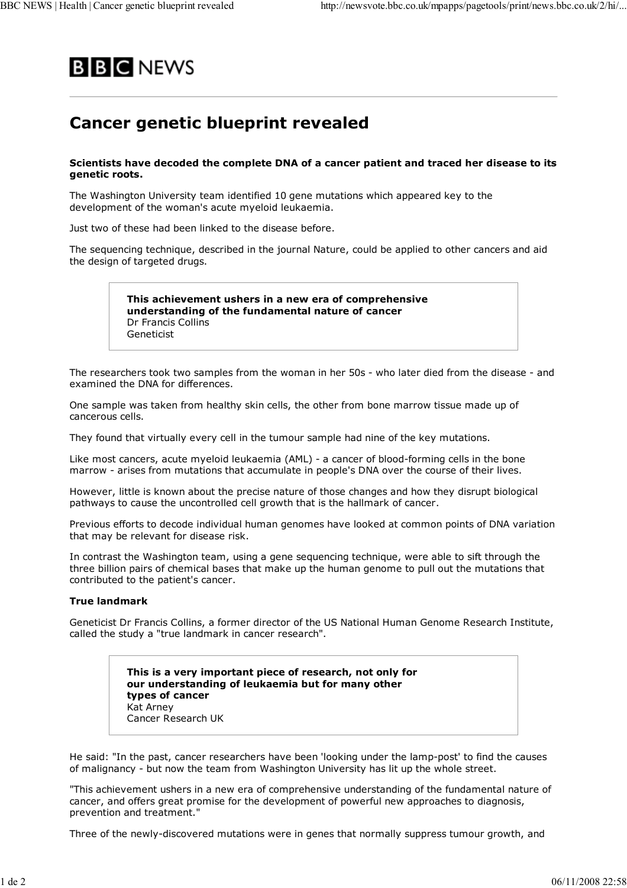

## **Cancer genetic blueprint revealed**

## **Scientists have decoded the complete DNA of a cancer patient and traced her disease to its genetic roots.**

The Washington University team identified 10 gene mutations which appeared key to the development of the woman's acute myeloid leukaemia.

Just two of these had been linked to the disease before.

The sequencing technique, described in the journal Nature, could be applied to other cancers and aid the design of targeted drugs.

> **This achievement ushers in a new era of comprehensive understanding of the fundamental nature of cancer** Dr Francis Collins Geneticist

The researchers took two samples from the woman in her 50s - who later died from the disease - and examined the DNA for differences.

One sample was taken from healthy skin cells, the other from bone marrow tissue made up of cancerous cells.

They found that virtually every cell in the tumour sample had nine of the key mutations.

Like most cancers, acute myeloid leukaemia (AML) - a cancer of blood-forming cells in the bone marrow - arises from mutations that accumulate in people's DNA over the course of their lives.

However, little is known about the precise nature of those changes and how they disrupt biological pathways to cause the uncontrolled cell growth that is the hallmark of cancer.

Previous efforts to decode individual human genomes have looked at common points of DNA variation that may be relevant for disease risk.

In contrast the Washington team, using a gene sequencing technique, were able to sift through the three billion pairs of chemical bases that make up the human genome to pull out the mutations that contributed to the patient's cancer.

## **True landmark**

Geneticist Dr Francis Collins, a former director of the US National Human Genome Research Institute, called the study a "true landmark in cancer research".

> **This is a very important piece of research, not only for our understanding of leukaemia but for many other types of cancer** Kat Arney Cancer Research UK

He said: "In the past, cancer researchers have been 'looking under the lamp-post' to find the causes of malignancy - but now the team from Washington University has lit up the whole street.

"This achievement ushers in a new era of comprehensive understanding of the fundamental nature of cancer, and offers great promise for the development of powerful new approaches to diagnosis, prevention and treatment."

Three of the newly-discovered mutations were in genes that normally suppress tumour growth, and